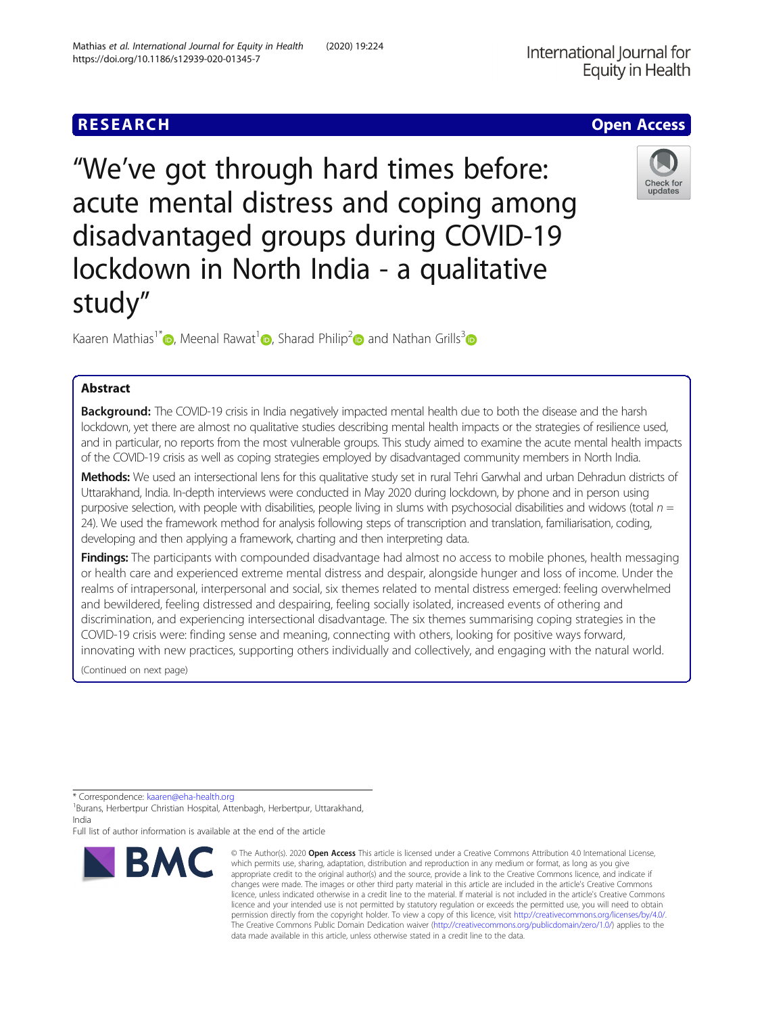# **RESEARCH CHE Open Access**

"We've got through hard times before: acute mental distress and coping among disadvantaged groups during COVID-19 lockdown in North India - a qualitative study"

Kaaren Mathias<sup>1\*</sup> [,](https://orcid.org/0000-0002-9607-9459) Meenal Rawat<sup>[1](https://orcid.org/0000-0003-2852-5741)</sup> , Sharad Philip<sup>[2](https://orcid.org/0000-0001-8028-3378)</sup> and Nathan Grills<sup>[3](https://orcid.org/0000-0003-1228-3047)</sup> and Nathan Grills<sup>3</sup>

# Abstract

Background: The COVID-19 crisis in India negatively impacted mental health due to both the disease and the harsh lockdown, yet there are almost no qualitative studies describing mental health impacts or the strategies of resilience used, and in particular, no reports from the most vulnerable groups. This study aimed to examine the acute mental health impacts of the COVID-19 crisis as well as coping strategies employed by disadvantaged community members in North India.

Methods: We used an intersectional lens for this qualitative study set in rural Tehri Garwhal and urban Dehradun districts of Uttarakhand, India. In-depth interviews were conducted in May 2020 during lockdown, by phone and in person using purposive selection, with people with disabilities, people living in slums with psychosocial disabilities and widows (total  $n =$ 24). We used the framework method for analysis following steps of transcription and translation, familiarisation, coding, developing and then applying a framework, charting and then interpreting data.

**Findings:** The participants with compounded disadvantage had almost no access to mobile phones, health messaging or health care and experienced extreme mental distress and despair, alongside hunger and loss of income. Under the realms of intrapersonal, interpersonal and social, six themes related to mental distress emerged: feeling overwhelmed and bewildered, feeling distressed and despairing, feeling socially isolated, increased events of othering and discrimination, and experiencing intersectional disadvantage. The six themes summarising coping strategies in the COVID-19 crisis were: finding sense and meaning, connecting with others, looking for positive ways forward, innovating with new practices, supporting others individually and collectively, and engaging with the natural world.

(Continued on next page)

\* Correspondence: [kaaren@eha-health.org](mailto:kaaren@eha-health.org) <sup>1</sup>

**BMC** 

<sup>1</sup>Burans, Herbertpur Christian Hospital, Attenbagh, Herbertpur, Uttarakhand, India

Full list of author information is available at the end of the article

Mathias et al. International Journal for Equity in Health (2020) 19:224 https://doi.org/10.1186/s12939-020-01345-7

> © The Author(s), 2020 **Open Access** This article is licensed under a Creative Commons Attribution 4.0 International License, which permits use, sharing, adaptation, distribution and reproduction in any medium or format, as long as you give appropriate credit to the original author(s) and the source, provide a link to the Creative Commons licence, and indicate if changes were made. The images or other third party material in this article are included in the article's Creative Commons licence, unless indicated otherwise in a credit line to the material. If material is not included in the article's Creative Commons licence and your intended use is not permitted by statutory regulation or exceeds the permitted use, you will need to obtain permission directly from the copyright holder. To view a copy of this licence, visit [http://creativecommons.org/licenses/by/4.0/.](http://creativecommons.org/licenses/by/4.0/) The Creative Commons Public Domain Dedication waiver [\(http://creativecommons.org/publicdomain/zero/1.0/](http://creativecommons.org/publicdomain/zero/1.0/)) applies to the

data made available in this article, unless otherwise stated in a credit line to the data.





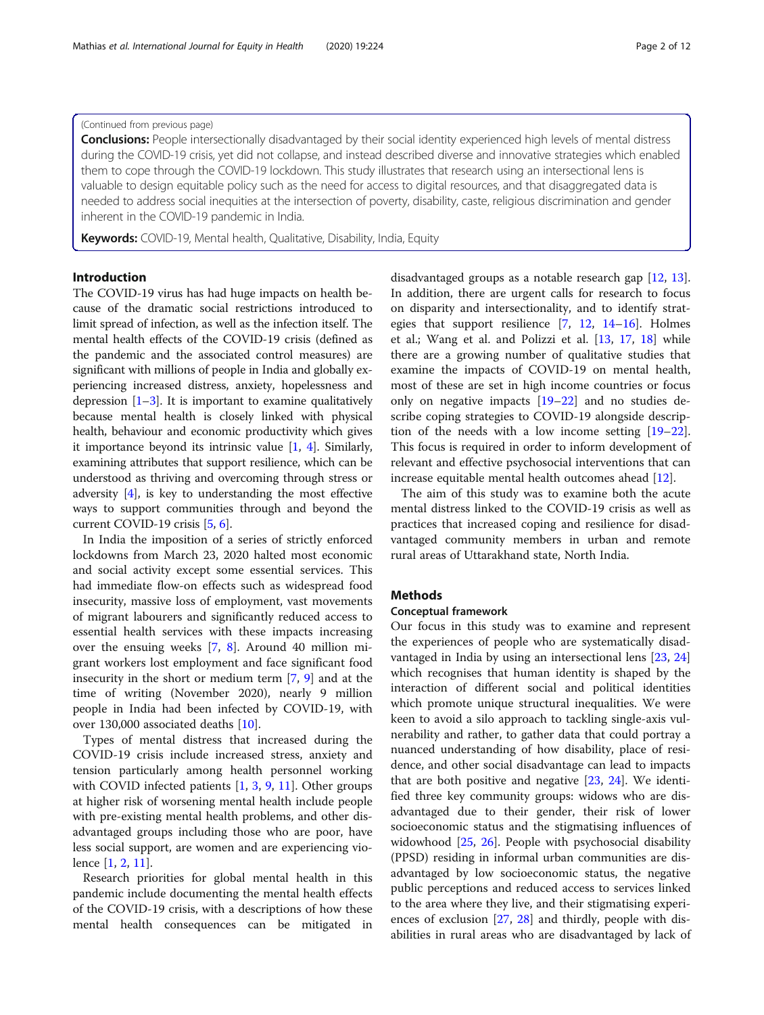# (Continued from previous page)

**Conclusions:** People intersectionally disadvantaged by their social identity experienced high levels of mental distress during the COVID-19 crisis, yet did not collapse, and instead described diverse and innovative strategies which enabled them to cope through the COVID-19 lockdown. This study illustrates that research using an intersectional lens is valuable to design equitable policy such as the need for access to digital resources, and that disaggregated data is needed to address social inequities at the intersection of poverty, disability, caste, religious discrimination and gender inherent in the COVID-19 pandemic in India.

Keywords: COVID-19, Mental health, Qualitative, Disability, India, Equity

# Introduction

The COVID-19 virus has had huge impacts on health because of the dramatic social restrictions introduced to limit spread of infection, as well as the infection itself. The mental health effects of the COVID-19 crisis (defined as the pandemic and the associated control measures) are significant with millions of people in India and globally experiencing increased distress, anxiety, hopelessness and depression  $[1-3]$  $[1-3]$  $[1-3]$  $[1-3]$ . It is important to examine qualitatively because mental health is closely linked with physical health, behaviour and economic productivity which gives it importance beyond its intrinsic value [\[1,](#page-10-0) [4\]](#page-10-0). Similarly, examining attributes that support resilience, which can be understood as thriving and overcoming through stress or adversity [\[4](#page-10-0)], is key to understanding the most effective ways to support communities through and beyond the current COVID-19 crisis [[5](#page-10-0), [6\]](#page-10-0).

In India the imposition of a series of strictly enforced lockdowns from March 23, 2020 halted most economic and social activity except some essential services. This had immediate flow-on effects such as widespread food insecurity, massive loss of employment, vast movements of migrant labourers and significantly reduced access to essential health services with these impacts increasing over the ensuing weeks [\[7](#page-10-0), [8\]](#page-10-0). Around 40 million migrant workers lost employment and face significant food insecurity in the short or medium term [[7,](#page-10-0) [9\]](#page-10-0) and at the time of writing (November 2020), nearly 9 million people in India had been infected by COVID-19, with over 130,000 associated deaths [\[10](#page-10-0)].

Types of mental distress that increased during the COVID-19 crisis include increased stress, anxiety and tension particularly among health personnel working with COVID infected patients [\[1](#page-10-0), [3,](#page-10-0) [9,](#page-10-0) [11\]](#page-10-0). Other groups at higher risk of worsening mental health include people with pre-existing mental health problems, and other disadvantaged groups including those who are poor, have less social support, are women and are experiencing violence [[1,](#page-10-0) [2,](#page-10-0) [11\]](#page-10-0).

Research priorities for global mental health in this pandemic include documenting the mental health effects of the COVID-19 crisis, with a descriptions of how these mental health consequences can be mitigated in disadvantaged groups as a notable research gap [\[12,](#page-10-0) [13](#page-10-0)]. In addition, there are urgent calls for research to focus on disparity and intersectionality, and to identify strategies that support resilience  $[7, 12, 14-16]$  $[7, 12, 14-16]$  $[7, 12, 14-16]$  $[7, 12, 14-16]$  $[7, 12, 14-16]$  $[7, 12, 14-16]$  $[7, 12, 14-16]$  $[7, 12, 14-16]$ . Holmes et al.; Wang et al. and Polizzi et al. [[13](#page-10-0), [17,](#page-10-0) [18](#page-10-0)] while there are a growing number of qualitative studies that examine the impacts of COVID-19 on mental health, most of these are set in high income countries or focus only on negative impacts [[19](#page-10-0)–[22\]](#page-10-0) and no studies describe coping strategies to COVID-19 alongside description of the needs with a low income setting  $[19-22]$  $[19-22]$  $[19-22]$  $[19-22]$  $[19-22]$ . This focus is required in order to inform development of relevant and effective psychosocial interventions that can increase equitable mental health outcomes ahead [\[12\]](#page-10-0).

The aim of this study was to examine both the acute mental distress linked to the COVID-19 crisis as well as practices that increased coping and resilience for disadvantaged community members in urban and remote rural areas of Uttarakhand state, North India.

# **Methods**

# Conceptual framework

Our focus in this study was to examine and represent the experiences of people who are systematically disadvantaged in India by using an intersectional lens [\[23](#page-10-0), [24](#page-10-0)] which recognises that human identity is shaped by the interaction of different social and political identities which promote unique structural inequalities. We were keen to avoid a silo approach to tackling single-axis vulnerability and rather, to gather data that could portray a nuanced understanding of how disability, place of residence, and other social disadvantage can lead to impacts that are both positive and negative  $[23, 24]$  $[23, 24]$  $[23, 24]$  $[23, 24]$  $[23, 24]$ . We identified three key community groups: widows who are disadvantaged due to their gender, their risk of lower socioeconomic status and the stigmatising influences of widowhood [\[25](#page-10-0), [26\]](#page-10-0). People with psychosocial disability (PPSD) residing in informal urban communities are disadvantaged by low socioeconomic status, the negative public perceptions and reduced access to services linked to the area where they live, and their stigmatising experiences of exclusion [[27](#page-10-0), [28](#page-10-0)] and thirdly, people with disabilities in rural areas who are disadvantaged by lack of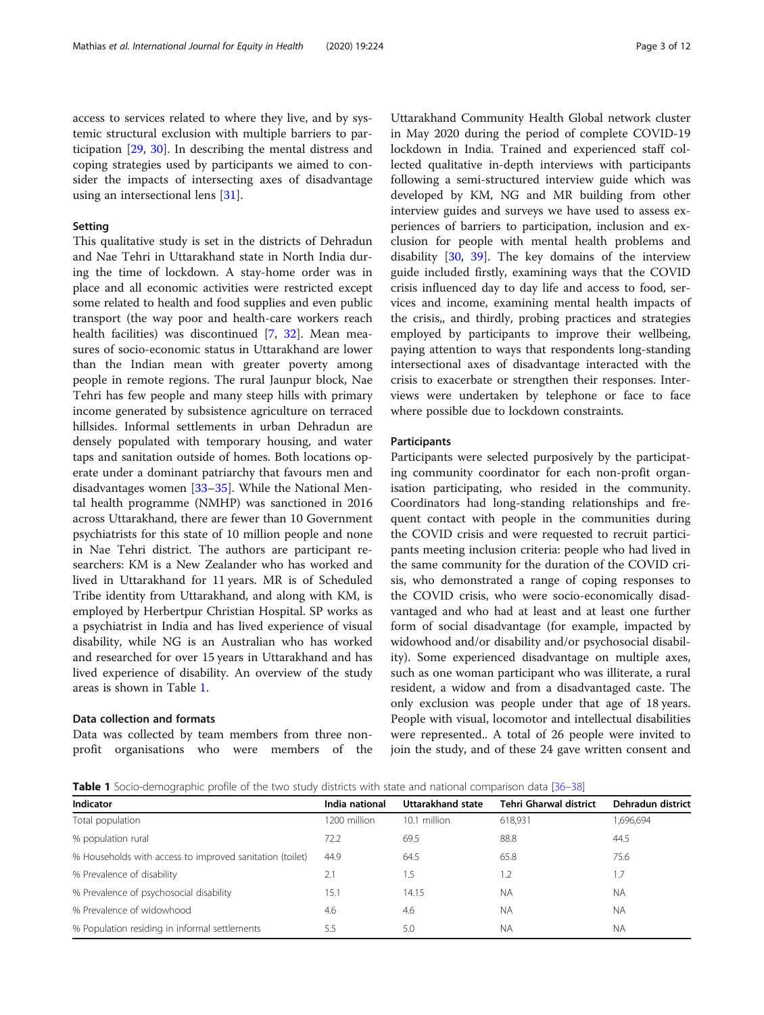access to services related to where they live, and by systemic structural exclusion with multiple barriers to participation [[29,](#page-10-0) [30](#page-10-0)]. In describing the mental distress and coping strategies used by participants we aimed to consider the impacts of intersecting axes of disadvantage using an intersectional lens [\[31](#page-10-0)].

# Setting

This qualitative study is set in the districts of Dehradun and Nae Tehri in Uttarakhand state in North India during the time of lockdown. A stay-home order was in place and all economic activities were restricted except some related to health and food supplies and even public transport (the way poor and health-care workers reach health facilities) was discontinued [\[7](#page-10-0), [32](#page-10-0)]. Mean measures of socio-economic status in Uttarakhand are lower than the Indian mean with greater poverty among people in remote regions. The rural Jaunpur block, Nae Tehri has few people and many steep hills with primary income generated by subsistence agriculture on terraced hillsides. Informal settlements in urban Dehradun are densely populated with temporary housing, and water taps and sanitation outside of homes. Both locations operate under a dominant patriarchy that favours men and disadvantages women [[33](#page-10-0)–[35\]](#page-10-0). While the National Mental health programme (NMHP) was sanctioned in 2016 across Uttarakhand, there are fewer than 10 Government psychiatrists for this state of 10 million people and none in Nae Tehri district. The authors are participant researchers: KM is a New Zealander who has worked and lived in Uttarakhand for 11 years. MR is of Scheduled Tribe identity from Uttarakhand, and along with KM, is employed by Herbertpur Christian Hospital. SP works as a psychiatrist in India and has lived experience of visual disability, while NG is an Australian who has worked and researched for over 15 years in Uttarakhand and has lived experience of disability. An overview of the study areas is shown in Table 1.

# Data collection and formats

Data was collected by team members from three nonprofit organisations who were members of the Uttarakhand Community Health Global network cluster in May 2020 during the period of complete COVID-19 lockdown in India. Trained and experienced staff collected qualitative in-depth interviews with participants following a semi-structured interview guide which was developed by KM, NG and MR building from other interview guides and surveys we have used to assess experiences of barriers to participation, inclusion and exclusion for people with mental health problems and disability [[30,](#page-10-0) [39](#page-10-0)]. The key domains of the interview guide included firstly, examining ways that the COVID crisis influenced day to day life and access to food, services and income, examining mental health impacts of the crisis,, and thirdly, probing practices and strategies employed by participants to improve their wellbeing, paying attention to ways that respondents long-standing intersectional axes of disadvantage interacted with the crisis to exacerbate or strengthen their responses. Interviews were undertaken by telephone or face to face where possible due to lockdown constraints.

#### Participants

Participants were selected purposively by the participating community coordinator for each non-profit organisation participating, who resided in the community. Coordinators had long-standing relationships and frequent contact with people in the communities during the COVID crisis and were requested to recruit participants meeting inclusion criteria: people who had lived in the same community for the duration of the COVID crisis, who demonstrated a range of coping responses to the COVID crisis, who were socio-economically disadvantaged and who had at least and at least one further form of social disadvantage (for example, impacted by widowhood and/or disability and/or psychosocial disability). Some experienced disadvantage on multiple axes, such as one woman participant who was illiterate, a rural resident, a widow and from a disadvantaged caste. The only exclusion was people under that age of 18 years. People with visual, locomotor and intellectual disabilities were represented.. A total of 26 people were invited to join the study, and of these 24 gave written consent and

**Table 1** Socio-demographic profile of the two study districts with state and national comparison data [\[36](#page-10-0)–[38](#page-10-0)]

| Indicator                                                | India national | Uttarakhand state | Tehri Gharwal district | Dehradun district |
|----------------------------------------------------------|----------------|-------------------|------------------------|-------------------|
| Total population                                         | 1200 million   | 10.1 million      | 618,931                | 1,696,694         |
| % population rural                                       | 72.2           | 69.5              | 88.8                   | 44.5              |
| % Households with access to improved sanitation (toilet) | 44.9           | 64.5              | 65.8                   | 75.6              |
| % Prevalence of disability                               | 2.1            | 1.5               | 1.2                    | 1.7               |
| % Prevalence of psychosocial disability                  | 15.1           | 14.15             | <b>NA</b>              | <b>NA</b>         |
| % Prevalence of widowhood                                | 4.6            | 4.6               | <b>NA</b>              | <b>NA</b>         |
| % Population residing in informal settlements            | 5.5            | 5.0               | <b>NA</b>              | <b>NA</b>         |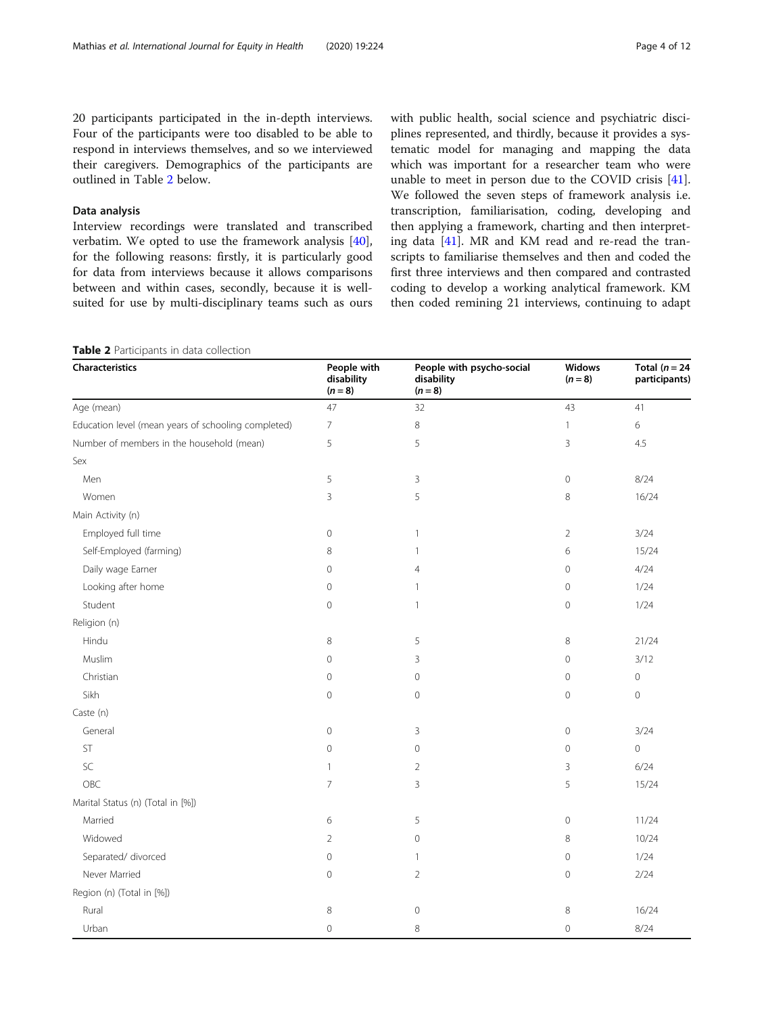20 participants participated in the in-depth interviews. Four of the participants were too disabled to be able to respond in interviews themselves, and so we interviewed their caregivers. Demographics of the participants are outlined in Table 2 below.

# Data analysis

Interview recordings were translated and transcribed verbatim. We opted to use the framework analysis [\[40](#page-10-0)], for the following reasons: firstly, it is particularly good for data from interviews because it allows comparisons between and within cases, secondly, because it is wellsuited for use by multi-disciplinary teams such as ours with public health, social science and psychiatric disciplines represented, and thirdly, because it provides a systematic model for managing and mapping the data which was important for a researcher team who were unable to meet in person due to the COVID crisis [\[41](#page-10-0)]. We followed the seven steps of framework analysis i.e. transcription, familiarisation, coding, developing and then applying a framework, charting and then interpreting data [[41](#page-10-0)]. MR and KM read and re-read the transcripts to familiarise themselves and then and coded the first three interviews and then compared and contrasted coding to develop a working analytical framework. KM then coded remining 21 interviews, continuing to adapt

|  |  |  | <b>Table 2</b> Participants in data collection |
|--|--|--|------------------------------------------------|

| Characteristics                                     | People with<br>disability<br>$(n = 8)$ | People with psycho-social<br>disability<br>$(n = 8)$ | <b>Widows</b><br>$(n = 8)$ | Total ( $n = 24$<br>participants) |
|-----------------------------------------------------|----------------------------------------|------------------------------------------------------|----------------------------|-----------------------------------|
| Age (mean)                                          | 47                                     | 32                                                   | 43                         | 41                                |
| Education level (mean years of schooling completed) | $\overline{7}$                         | $\,8\,$                                              | $\mathbf{1}$               | 6                                 |
| Number of members in the household (mean)           | 5                                      | 5                                                    | 3                          | 4.5                               |
| Sex                                                 |                                        |                                                      |                            |                                   |
| Men                                                 | 5                                      | 3                                                    | $\mathbf 0$                | 8/24                              |
| Women                                               | 3                                      | 5                                                    | 8                          | 16/24                             |
| Main Activity (n)                                   |                                        |                                                      |                            |                                   |
| Employed full time                                  | $\mathbf 0$                            | $\mathbf{1}$                                         | $\overline{2}$             | 3/24                              |
| Self-Employed (farming)                             | 8                                      | $\mathbf{1}$                                         | 6                          | 15/24                             |
| Daily wage Earner                                   | $\mathbf 0$                            | $\overline{4}$                                       | $\overline{0}$             | 4/24                              |
| Looking after home                                  | $\mathbf 0$                            | 1                                                    | $\mathbf 0$                | 1/24                              |
| Student                                             | $\overline{0}$                         | $\mathbf{1}$                                         | $\overline{0}$             | 1/24                              |
| Religion (n)                                        |                                        |                                                      |                            |                                   |
| Hindu                                               | 8                                      | 5                                                    | 8                          | 21/24                             |
| Muslim                                              | $\mathbf{0}$                           | 3                                                    | $\mathbf 0$                | 3/12                              |
| Christian                                           | $\mathbf 0$                            | $\mathbf 0$                                          | $\mathbf 0$                | $\mathsf{O}\xspace$               |
| Sikh                                                | $\mathbf 0$                            | $\mathbf 0$                                          | $\mathbf{0}$               | 0                                 |
| Caste (n)                                           |                                        |                                                      |                            |                                   |
| General                                             | $\mathbf 0$                            | 3                                                    | $\mathbf 0$                | 3/24                              |
| ST                                                  | $\mathbf 0$                            | $\mathbf 0$                                          | $\mathbf 0$                | $\mathbf 0$                       |
| SC                                                  | 1                                      | $\overline{2}$                                       | 3                          | 6/24                              |
| OBC                                                 | $7\overline{ }$                        | 3                                                    | 5                          | 15/24                             |
| Marital Status (n) (Total in [%])                   |                                        |                                                      |                            |                                   |
| Married                                             | 6                                      | 5                                                    | $\mathbf 0$                | 11/24                             |
| Widowed                                             | 2                                      | $\mathbf 0$                                          | 8                          | 10/24                             |
| Separated/ divorced                                 | $\mathbf 0$                            | $\mathbf{1}$                                         | $\mathbf 0$                | 1/24                              |
| Never Married                                       | $\mathbf 0$                            | $\overline{2}$                                       | $\mathbf 0$                | 2/24                              |
| Region (n) (Total in [%])                           |                                        |                                                      |                            |                                   |
| Rural                                               | 8                                      | $\mathbf 0$                                          | 8                          | 16/24                             |
| Urban                                               | $\mathbf 0$                            | 8                                                    | $\mathbf 0$                | 8/24                              |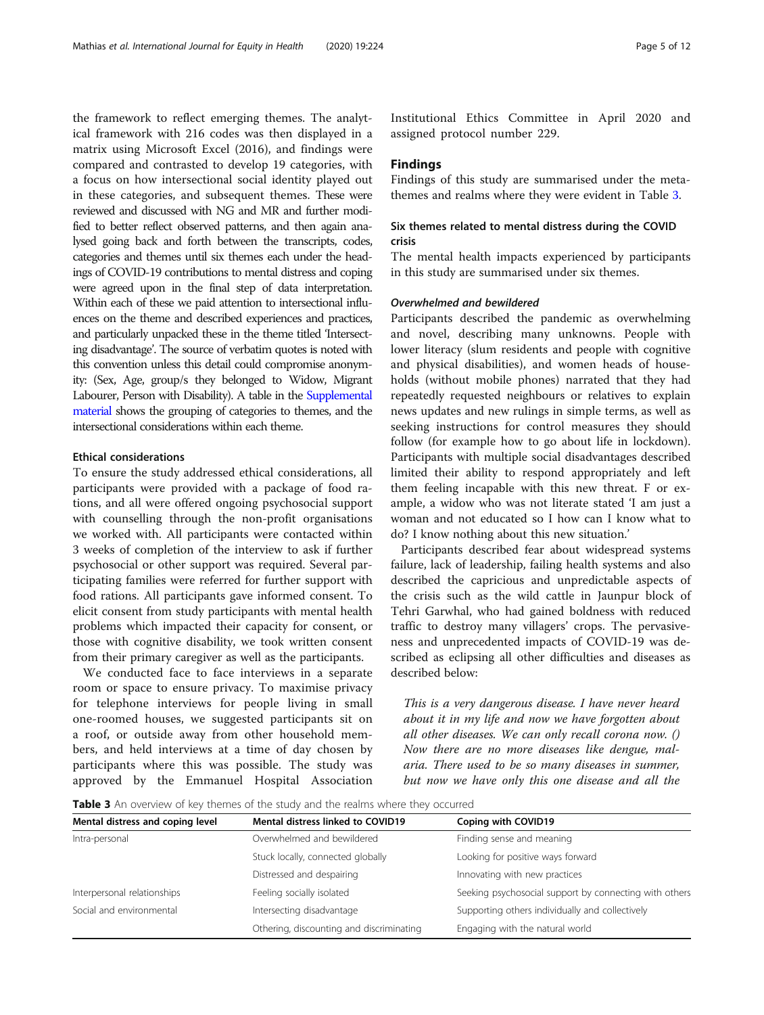the framework to reflect emerging themes. The analytical framework with 216 codes was then displayed in a matrix using Microsoft Excel (2016), and findings were compared and contrasted to develop 19 categories, with a focus on how intersectional social identity played out in these categories, and subsequent themes. These were reviewed and discussed with NG and MR and further modified to better reflect observed patterns, and then again analysed going back and forth between the transcripts, codes, categories and themes until six themes each under the headings of COVID-19 contributions to mental distress and coping were agreed upon in the final step of data interpretation. Within each of these we paid attention to intersectional influences on the theme and described experiences and practices, and particularly unpacked these in the theme titled 'Intersecting disadvantage'. The source of verbatim quotes is noted with this convention unless this detail could compromise anonymity: (Sex, Age, group/s they belonged to Widow, Migrant Labourer, Person with Disability). A table in the [Supplemental](#page-9-0) [material](#page-9-0) shows the grouping of categories to themes, and the intersectional considerations within each theme.

# Ethical considerations

To ensure the study addressed ethical considerations, all participants were provided with a package of food rations, and all were offered ongoing psychosocial support with counselling through the non-profit organisations we worked with. All participants were contacted within 3 weeks of completion of the interview to ask if further psychosocial or other support was required. Several participating families were referred for further support with food rations. All participants gave informed consent. To elicit consent from study participants with mental health problems which impacted their capacity for consent, or those with cognitive disability, we took written consent from their primary caregiver as well as the participants.

We conducted face to face interviews in a separate room or space to ensure privacy. To maximise privacy for telephone interviews for people living in small one-roomed houses, we suggested participants sit on a roof, or outside away from other household members, and held interviews at a time of day chosen by participants where this was possible. The study was approved by the Emmanuel Hospital Association Institutional Ethics Committee in April 2020 and assigned protocol number 229.

# Findings

Findings of this study are summarised under the metathemes and realms where they were evident in Table 3.

# Six themes related to mental distress during the COVID crisis

The mental health impacts experienced by participants in this study are summarised under six themes.

# Overwhelmed and bewildered

Participants described the pandemic as overwhelming and novel, describing many unknowns. People with lower literacy (slum residents and people with cognitive and physical disabilities), and women heads of households (without mobile phones) narrated that they had repeatedly requested neighbours or relatives to explain news updates and new rulings in simple terms, as well as seeking instructions for control measures they should follow (for example how to go about life in lockdown). Participants with multiple social disadvantages described limited their ability to respond appropriately and left them feeling incapable with this new threat. F or example, a widow who was not literate stated 'I am just a woman and not educated so I how can I know what to do? I know nothing about this new situation.'

Participants described fear about widespread systems failure, lack of leadership, failing health systems and also described the capricious and unpredictable aspects of the crisis such as the wild cattle in Jaunpur block of Tehri Garwhal, who had gained boldness with reduced traffic to destroy many villagers' crops. The pervasiveness and unprecedented impacts of COVID-19 was described as eclipsing all other difficulties and diseases as described below:

This is a very dangerous disease. I have never heard about it in my life and now we have forgotten about all other diseases. We can only recall corona now. () Now there are no more diseases like dengue, malaria. There used to be so many diseases in summer, but now we have only this one disease and all the

Table 3 An overview of key themes of the study and the realms where they occurred

| Mental distress and coping level | <b>Mental distress linked to COVID19</b> | Coping with COVID19                                    |
|----------------------------------|------------------------------------------|--------------------------------------------------------|
| Intra-personal                   | Overwhelmed and bewildered               | Finding sense and meaning                              |
|                                  | Stuck locally, connected globally        | Looking for positive ways forward                      |
|                                  | Distressed and despairing                | Innovating with new practices                          |
| Interpersonal relationships      | Feeling socially isolated                | Seeking psychosocial support by connecting with others |
| Social and environmental         | Intersecting disadvantage                | Supporting others individually and collectively        |
|                                  | Othering, discounting and discriminating | Engaging with the natural world                        |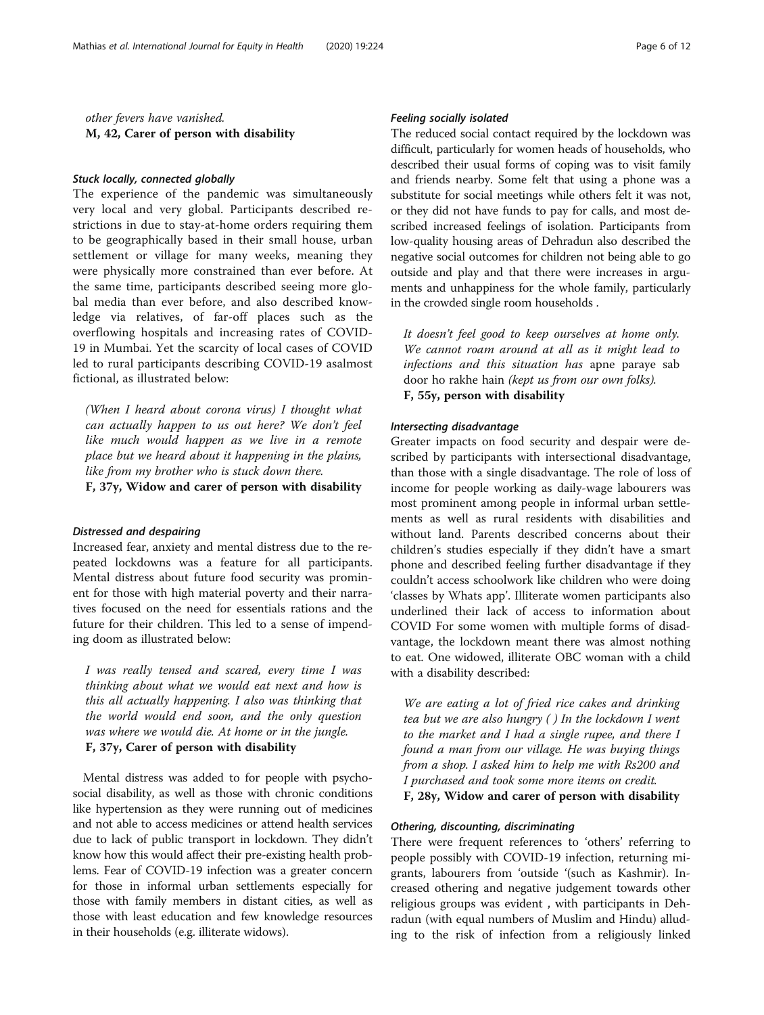other fevers have vanished. M, 42, Carer of person with disability

#### Stuck locally, connected globally

The experience of the pandemic was simultaneously very local and very global. Participants described restrictions in due to stay-at-home orders requiring them to be geographically based in their small house, urban settlement or village for many weeks, meaning they were physically more constrained than ever before. At the same time, participants described seeing more global media than ever before, and also described knowledge via relatives, of far-off places such as the overflowing hospitals and increasing rates of COVID-19 in Mumbai. Yet the scarcity of local cases of COVID led to rural participants describing COVID-19 asalmost fictional, as illustrated below:

(When I heard about corona virus) I thought what can actually happen to us out here? We don't feel like much would happen as we live in a remote place but we heard about it happening in the plains, like from my brother who is stuck down there. F, 37y, Widow and carer of person with disability

#### Distressed and despairing

Increased fear, anxiety and mental distress due to the repeated lockdowns was a feature for all participants. Mental distress about future food security was prominent for those with high material poverty and their narratives focused on the need for essentials rations and the future for their children. This led to a sense of impending doom as illustrated below:

I was really tensed and scared, every time I was thinking about what we would eat next and how is this all actually happening. I also was thinking that the world would end soon, and the only question was where we would die. At home or in the jungle. F, 37y, Carer of person with disability

Mental distress was added to for people with psychosocial disability, as well as those with chronic conditions like hypertension as they were running out of medicines and not able to access medicines or attend health services due to lack of public transport in lockdown. They didn't know how this would affect their pre-existing health problems. Fear of COVID-19 infection was a greater concern for those in informal urban settlements especially for those with family members in distant cities, as well as those with least education and few knowledge resources in their households (e.g. illiterate widows).

# Feeling socially isolated

The reduced social contact required by the lockdown was difficult, particularly for women heads of households, who described their usual forms of coping was to visit family and friends nearby. Some felt that using a phone was a substitute for social meetings while others felt it was not, or they did not have funds to pay for calls, and most described increased feelings of isolation. Participants from low-quality housing areas of Dehradun also described the negative social outcomes for children not being able to go outside and play and that there were increases in arguments and unhappiness for the whole family, particularly in the crowded single room households .

It doesn't feel good to keep ourselves at home only. We cannot roam around at all as it might lead to infections and this situation has apne paraye sab door ho rakhe hain (kept us from our own folks). F, 55y, person with disability

# Intersecting disadvantage

Greater impacts on food security and despair were described by participants with intersectional disadvantage, than those with a single disadvantage. The role of loss of income for people working as daily-wage labourers was most prominent among people in informal urban settlements as well as rural residents with disabilities and without land. Parents described concerns about their children's studies especially if they didn't have a smart phone and described feeling further disadvantage if they couldn't access schoolwork like children who were doing 'classes by Whats app'. Illiterate women participants also underlined their lack of access to information about COVID For some women with multiple forms of disadvantage, the lockdown meant there was almost nothing to eat. One widowed, illiterate OBC woman with a child with a disability described:

We are eating a lot of fried rice cakes and drinking tea but we are also hungry ( ) In the lockdown I went to the market and I had a single rupee, and there I found a man from our village. He was buying things from a shop. I asked him to help me with Rs200 and I purchased and took some more items on credit.

F, 28y, Widow and carer of person with disability

# Othering, discounting, discriminating

There were frequent references to 'others' referring to people possibly with COVID-19 infection, returning migrants, labourers from 'outside '(such as Kashmir). Increased othering and negative judgement towards other religious groups was evident , with participants in Dehradun (with equal numbers of Muslim and Hindu) alluding to the risk of infection from a religiously linked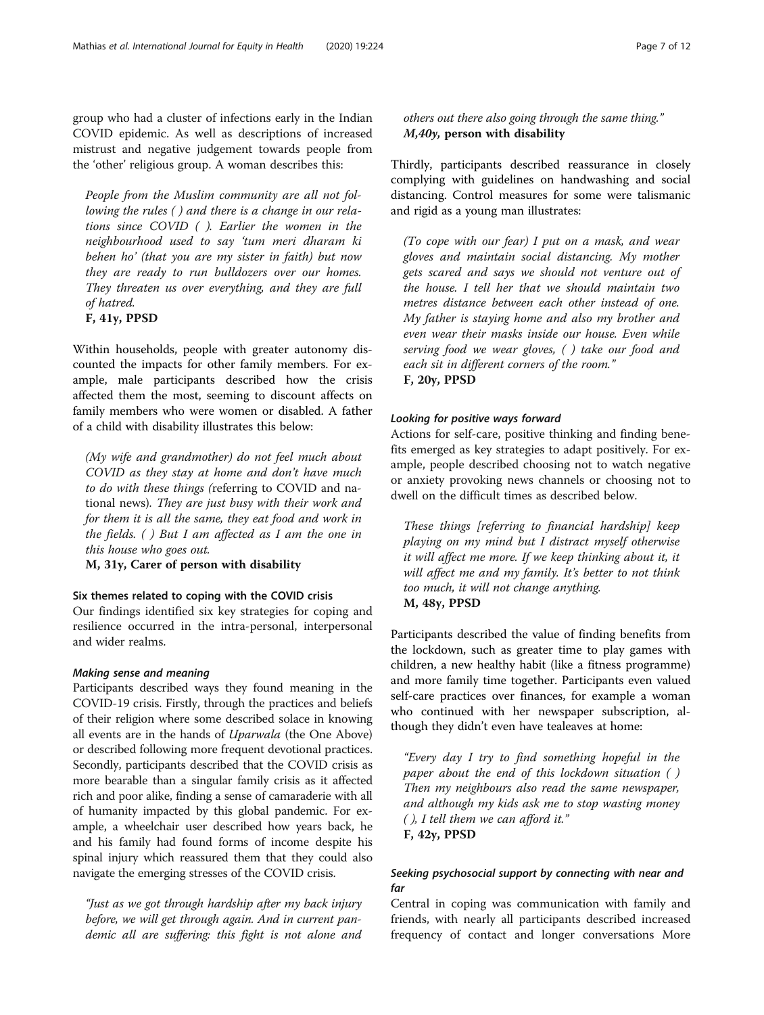group who had a cluster of infections early in the Indian COVID epidemic. As well as descriptions of increased mistrust and negative judgement towards people from the 'other' religious group. A woman describes this:

People from the Muslim community are all not following the rules () and there is a change in our relations since COVID ( ). Earlier the women in the neighbourhood used to say 'tum meri dharam ki behen ho' (that you are my sister in faith) but now they are ready to run bulldozers over our homes. They threaten us over everything, and they are full of hatred.

F, 41y, PPSD

Within households, people with greater autonomy discounted the impacts for other family members. For example, male participants described how the crisis affected them the most, seeming to discount affects on family members who were women or disabled. A father of a child with disability illustrates this below:

(My wife and grandmother) do not feel much about COVID as they stay at home and don't have much to do with these things (referring to COVID and national news). They are just busy with their work and for them it is all the same, they eat food and work in the fields. ( ) But I am affected as I am the one in this house who goes out.

M, 31y, Carer of person with disability

# Six themes related to coping with the COVID crisis

Our findings identified six key strategies for coping and resilience occurred in the intra-personal, interpersonal and wider realms.

# Making sense and meaning

Participants described ways they found meaning in the COVID-19 crisis. Firstly, through the practices and beliefs of their religion where some described solace in knowing all events are in the hands of Uparwala (the One Above) or described following more frequent devotional practices. Secondly, participants described that the COVID crisis as more bearable than a singular family crisis as it affected rich and poor alike, finding a sense of camaraderie with all of humanity impacted by this global pandemic. For example, a wheelchair user described how years back, he and his family had found forms of income despite his spinal injury which reassured them that they could also navigate the emerging stresses of the COVID crisis.

"Just as we got through hardship after my back injury before, we will get through again. And in current pandemic all are suffering: this fight is not alone and

# others out there also going through the same thing." M,40y, person with disability

Thirdly, participants described reassurance in closely complying with guidelines on handwashing and social distancing. Control measures for some were talismanic and rigid as a young man illustrates:

(To cope with our fear) I put on a mask, and wear gloves and maintain social distancing. My mother gets scared and says we should not venture out of the house. I tell her that we should maintain two metres distance between each other instead of one. My father is staying home and also my brother and even wear their masks inside our house. Even while serving food we wear gloves, ( ) take our food and each sit in different corners of the room." F, 20y, PPSD

# Looking for positive ways forward

Actions for self-care, positive thinking and finding benefits emerged as key strategies to adapt positively. For example, people described choosing not to watch negative or anxiety provoking news channels or choosing not to dwell on the difficult times as described below.

These things [referring to financial hardship] keep playing on my mind but I distract myself otherwise it will affect me more. If we keep thinking about it, it will affect me and my family. It's better to not think too much, it will not change anything. M, 48y, PPSD

Participants described the value of finding benefits from the lockdown, such as greater time to play games with children, a new healthy habit (like a fitness programme) and more family time together. Participants even valued self-care practices over finances, for example a woman who continued with her newspaper subscription, although they didn't even have tealeaves at home:

"Every day I try to find something hopeful in the paper about the end of this lockdown situation ( ) Then my neighbours also read the same newspaper, and although my kids ask me to stop wasting money  $($ ), I tell them we can afford it." F, 42y, PPSD

# Seeking psychosocial support by connecting with near and far

Central in coping was communication with family and friends, with nearly all participants described increased frequency of contact and longer conversations More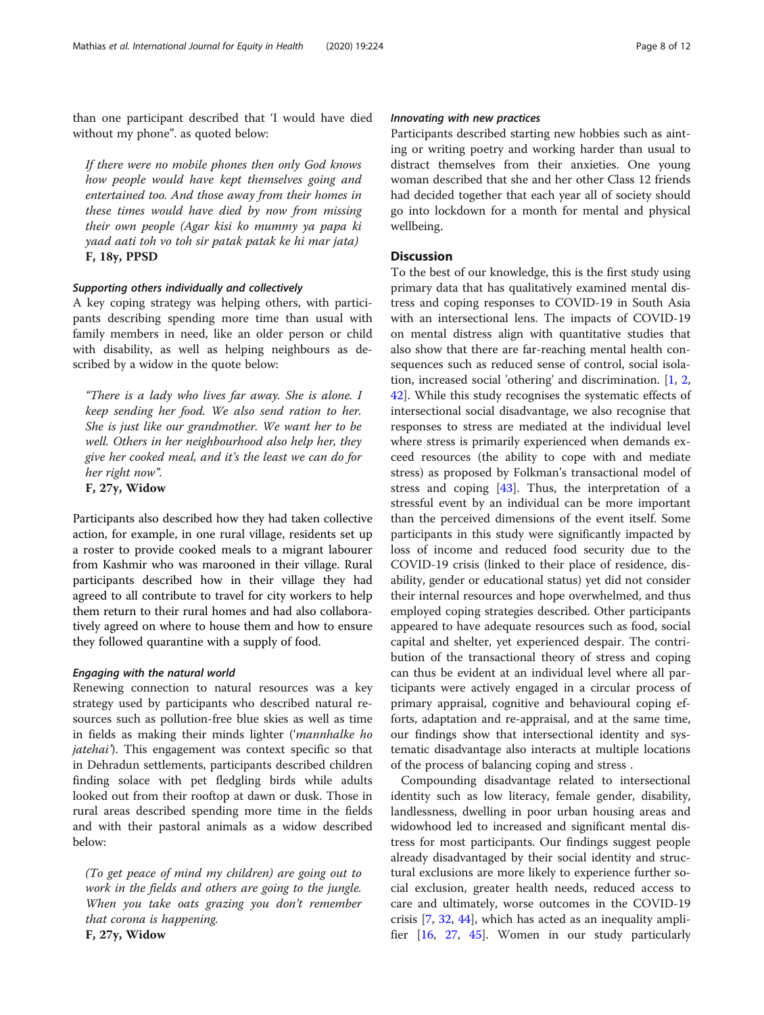than one participant described that 'I would have died without my phone". as quoted below:

If there were no mobile phones then only God knows how people would have kept themselves going and entertained too. And those away from their homes in these times would have died by now from missing their own people (Agar kisi ko mummy ya papa ki yaad aati toh vo toh sir patak patak ke hi mar jata) F, 18y, PPSD

# Supporting others individually and collectively

A key coping strategy was helping others, with participants describing spending more time than usual with family members in need, like an older person or child with disability, as well as helping neighbours as described by a widow in the quote below:

"There is a lady who lives far away. She is alone. I keep sending her food. We also send ration to her. She is just like our grandmother. We want her to be well. Others in her neighbourhood also help her, they give her cooked meal, and it's the least we can do for her right now".

F, 27y, Widow

Participants also described how they had taken collective action, for example, in one rural village, residents set up a roster to provide cooked meals to a migrant labourer from Kashmir who was marooned in their village. Rural participants described how in their village they had agreed to all contribute to travel for city workers to help them return to their rural homes and had also collaboratively agreed on where to house them and how to ensure they followed quarantine with a supply of food.

## Engaging with the natural world

Renewing connection to natural resources was a key strategy used by participants who described natural resources such as pollution-free blue skies as well as time in fields as making their minds lighter ('mannhalke ho jatehai'). This engagement was context specific so that in Dehradun settlements, participants described children finding solace with pet fledgling birds while adults looked out from their rooftop at dawn or dusk. Those in rural areas described spending more time in the fields and with their pastoral animals as a widow described below:

(To get peace of mind my children) are going out to work in the fields and others are going to the jungle. When you take oats grazing you don't remember that corona is happening. F, 27y, Widow

# Innovating with new practices

Participants described starting new hobbies such as ainting or writing poetry and working harder than usual to distract themselves from their anxieties. One young woman described that she and her other Class 12 friends had decided together that each year all of society should go into lockdown for a month for mental and physical wellbeing.

# **Discussion**

To the best of our knowledge, this is the first study using primary data that has qualitatively examined mental distress and coping responses to COVID-19 in South Asia with an intersectional lens. The impacts of COVID-19 on mental distress align with quantitative studies that also show that there are far-reaching mental health consequences such as reduced sense of control, social isolation, increased social 'othering' and discrimination. [\[1](#page-10-0), [2](#page-10-0), [42\]](#page-10-0). While this study recognises the systematic effects of intersectional social disadvantage, we also recognise that responses to stress are mediated at the individual level where stress is primarily experienced when demands exceed resources (the ability to cope with and mediate stress) as proposed by Folkman's transactional model of stress and coping [\[43\]](#page-11-0). Thus, the interpretation of a stressful event by an individual can be more important than the perceived dimensions of the event itself. Some participants in this study were significantly impacted by loss of income and reduced food security due to the COVID-19 crisis (linked to their place of residence, disability, gender or educational status) yet did not consider their internal resources and hope overwhelmed, and thus employed coping strategies described. Other participants appeared to have adequate resources such as food, social capital and shelter, yet experienced despair. The contribution of the transactional theory of stress and coping can thus be evident at an individual level where all participants were actively engaged in a circular process of primary appraisal, cognitive and behavioural coping efforts, adaptation and re-appraisal, and at the same time, our findings show that intersectional identity and systematic disadvantage also interacts at multiple locations of the process of balancing coping and stress .

Compounding disadvantage related to intersectional identity such as low literacy, female gender, disability, landlessness, dwelling in poor urban housing areas and widowhood led to increased and significant mental distress for most participants. Our findings suggest people already disadvantaged by their social identity and structural exclusions are more likely to experience further social exclusion, greater health needs, reduced access to care and ultimately, worse outcomes in the COVID-19 crisis [[7,](#page-10-0) [32,](#page-10-0) [44](#page-11-0)], which has acted as an inequality amplifier [\[16](#page-10-0), [27,](#page-10-0) [45\]](#page-11-0). Women in our study particularly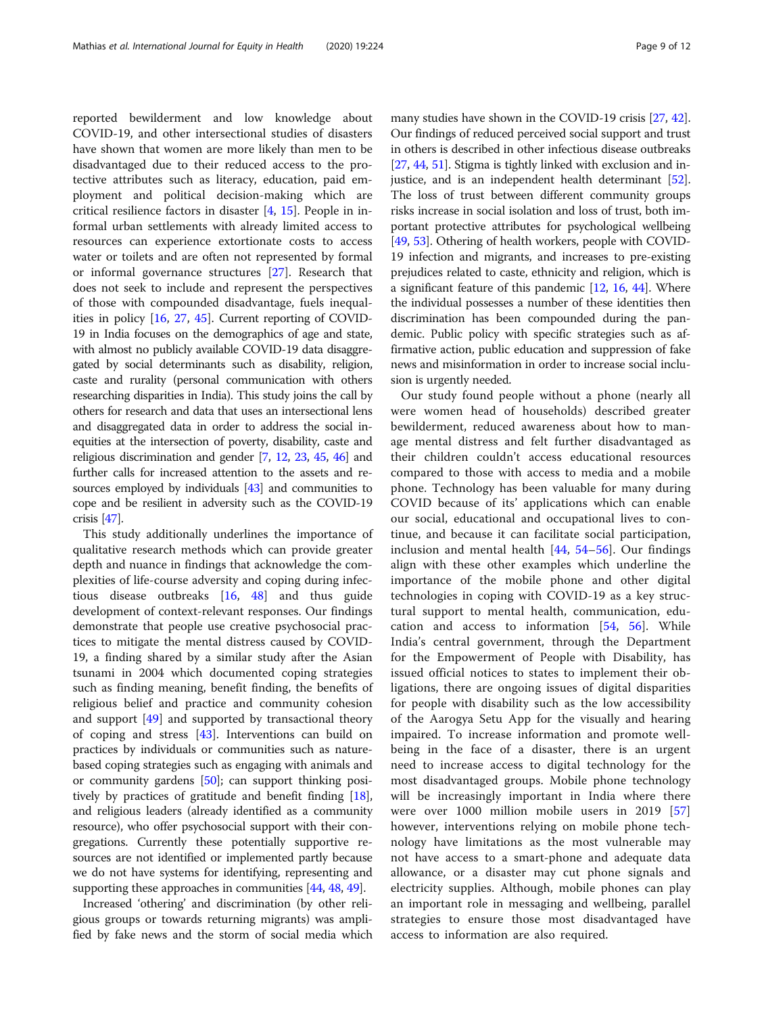reported bewilderment and low knowledge about COVID-19, and other intersectional studies of disasters have shown that women are more likely than men to be disadvantaged due to their reduced access to the protective attributes such as literacy, education, paid employment and political decision-making which are critical resilience factors in disaster [[4](#page-10-0), [15\]](#page-10-0). People in informal urban settlements with already limited access to resources can experience extortionate costs to access water or toilets and are often not represented by formal or informal governance structures [\[27\]](#page-10-0). Research that does not seek to include and represent the perspectives of those with compounded disadvantage, fuels inequalities in policy [\[16,](#page-10-0) [27,](#page-10-0) [45\]](#page-11-0). Current reporting of COVID-19 in India focuses on the demographics of age and state, with almost no publicly available COVID-19 data disaggregated by social determinants such as disability, religion, caste and rurality (personal communication with others researching disparities in India). This study joins the call by others for research and data that uses an intersectional lens and disaggregated data in order to address the social inequities at the intersection of poverty, disability, caste and religious discrimination and gender [[7](#page-10-0), [12](#page-10-0), [23](#page-10-0), [45](#page-11-0), [46](#page-11-0)] and further calls for increased attention to the assets and resources employed by individuals [\[43\]](#page-11-0) and communities to cope and be resilient in adversity such as the COVID-19 crisis [\[47](#page-11-0)].

This study additionally underlines the importance of qualitative research methods which can provide greater depth and nuance in findings that acknowledge the complexities of life-course adversity and coping during infectious disease outbreaks [[16,](#page-10-0) [48\]](#page-11-0) and thus guide development of context-relevant responses. Our findings demonstrate that people use creative psychosocial practices to mitigate the mental distress caused by COVID-19, a finding shared by a similar study after the Asian tsunami in 2004 which documented coping strategies such as finding meaning, benefit finding, the benefits of religious belief and practice and community cohesion and support [\[49\]](#page-11-0) and supported by transactional theory of coping and stress [[43](#page-11-0)]. Interventions can build on practices by individuals or communities such as naturebased coping strategies such as engaging with animals and or community gardens [\[50\]](#page-11-0); can support thinking positively by practices of gratitude and benefit finding [[18](#page-10-0)], and religious leaders (already identified as a community resource), who offer psychosocial support with their congregations. Currently these potentially supportive resources are not identified or implemented partly because we do not have systems for identifying, representing and supporting these approaches in communities [[44](#page-11-0), [48,](#page-11-0) [49](#page-11-0)].

Increased 'othering' and discrimination (by other religious groups or towards returning migrants) was amplified by fake news and the storm of social media which

many studies have shown in the COVID-19 crisis [\[27,](#page-10-0) [42](#page-10-0)]. Our findings of reduced perceived social support and trust in others is described in other infectious disease outbreaks [[27](#page-10-0), [44,](#page-11-0) [51](#page-11-0)]. Stigma is tightly linked with exclusion and injustice, and is an independent health determinant [[52](#page-11-0)]. The loss of trust between different community groups risks increase in social isolation and loss of trust, both important protective attributes for psychological wellbeing [[49](#page-11-0), [53](#page-11-0)]. Othering of health workers, people with COVID-19 infection and migrants, and increases to pre-existing prejudices related to caste, ethnicity and religion, which is a significant feature of this pandemic [[12](#page-10-0), [16](#page-10-0), [44\]](#page-11-0). Where the individual possesses a number of these identities then discrimination has been compounded during the pandemic. Public policy with specific strategies such as affirmative action, public education and suppression of fake news and misinformation in order to increase social inclusion is urgently needed.

Our study found people without a phone (nearly all were women head of households) described greater bewilderment, reduced awareness about how to manage mental distress and felt further disadvantaged as their children couldn't access educational resources compared to those with access to media and a mobile phone. Technology has been valuable for many during COVID because of its' applications which can enable our social, educational and occupational lives to continue, and because it can facilitate social participation, inclusion and mental health [\[44](#page-11-0), [54](#page-11-0)–[56\]](#page-11-0). Our findings align with these other examples which underline the importance of the mobile phone and other digital technologies in coping with COVID-19 as a key structural support to mental health, communication, education and access to information [[54,](#page-11-0) [56](#page-11-0)]. While India's central government, through the Department for the Empowerment of People with Disability, has issued official notices to states to implement their obligations, there are ongoing issues of digital disparities for people with disability such as the low accessibility of the Aarogya Setu App for the visually and hearing impaired. To increase information and promote wellbeing in the face of a disaster, there is an urgent need to increase access to digital technology for the most disadvantaged groups. Mobile phone technology will be increasingly important in India where there were over 1000 million mobile users in 2019 [\[57](#page-11-0)] however, interventions relying on mobile phone technology have limitations as the most vulnerable may not have access to a smart-phone and adequate data allowance, or a disaster may cut phone signals and electricity supplies. Although, mobile phones can play an important role in messaging and wellbeing, parallel strategies to ensure those most disadvantaged have access to information are also required.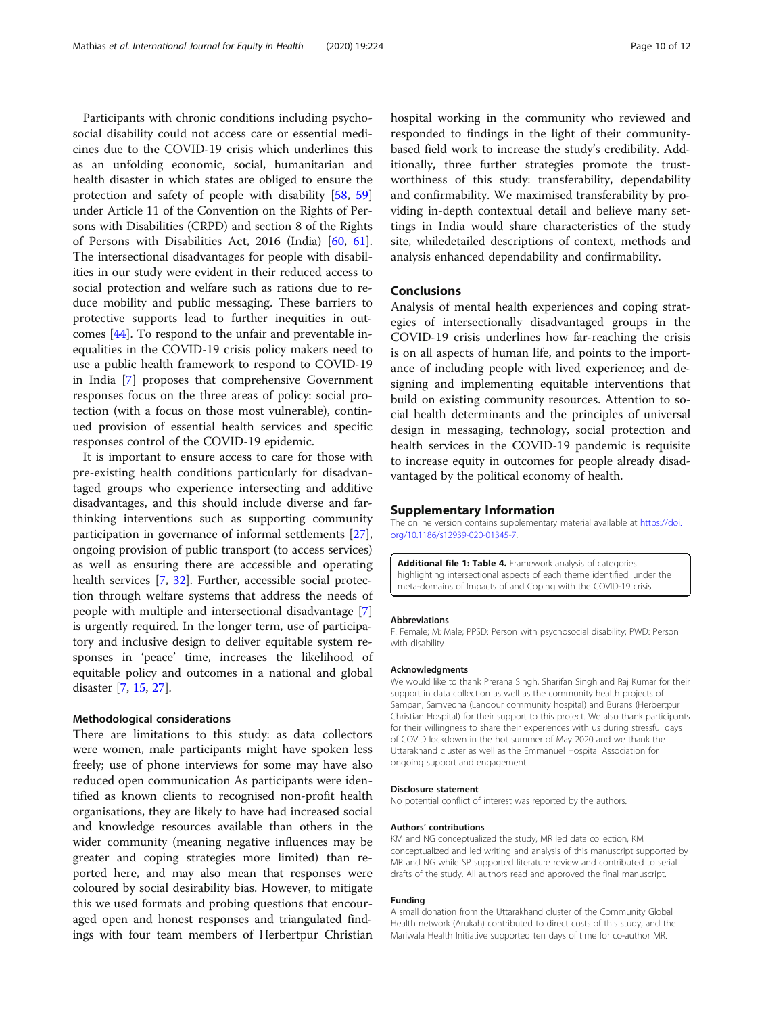<span id="page-9-0"></span>Participants with chronic conditions including psychosocial disability could not access care or essential medicines due to the COVID-19 crisis which underlines this as an unfolding economic, social, humanitarian and health disaster in which states are obliged to ensure the protection and safety of people with disability [[58,](#page-11-0) [59](#page-11-0)] under Article 11 of the Convention on the Rights of Persons with Disabilities (CRPD) and section 8 of the Rights of Persons with Disabilities Act, 2016 (India) [[60](#page-11-0), [61](#page-11-0)]. The intersectional disadvantages for people with disabilities in our study were evident in their reduced access to social protection and welfare such as rations due to reduce mobility and public messaging. These barriers to protective supports lead to further inequities in outcomes [[44](#page-11-0)]. To respond to the unfair and preventable inequalities in the COVID-19 crisis policy makers need to use a public health framework to respond to COVID-19 in India [\[7](#page-10-0)] proposes that comprehensive Government responses focus on the three areas of policy: social protection (with a focus on those most vulnerable), continued provision of essential health services and specific responses control of the COVID-19 epidemic.

It is important to ensure access to care for those with pre-existing health conditions particularly for disadvantaged groups who experience intersecting and additive disadvantages, and this should include diverse and farthinking interventions such as supporting community participation in governance of informal settlements [\[27](#page-10-0)], ongoing provision of public transport (to access services) as well as ensuring there are accessible and operating health services [\[7](#page-10-0), [32\]](#page-10-0). Further, accessible social protection through welfare systems that address the needs of people with multiple and intersectional disadvantage [\[7](#page-10-0)] is urgently required. In the longer term, use of participatory and inclusive design to deliver equitable system responses in 'peace' time, increases the likelihood of equitable policy and outcomes in a national and global disaster [[7,](#page-10-0) [15,](#page-10-0) [27\]](#page-10-0).

## Methodological considerations

There are limitations to this study: as data collectors were women, male participants might have spoken less freely; use of phone interviews for some may have also reduced open communication As participants were identified as known clients to recognised non-profit health organisations, they are likely to have had increased social and knowledge resources available than others in the wider community (meaning negative influences may be greater and coping strategies more limited) than reported here, and may also mean that responses were coloured by social desirability bias. However, to mitigate this we used formats and probing questions that encouraged open and honest responses and triangulated findings with four team members of Herbertpur Christian

hospital working in the community who reviewed and responded to findings in the light of their communitybased field work to increase the study's credibility. Additionally, three further strategies promote the trustworthiness of this study: transferability, dependability and confirmability. We maximised transferability by providing in-depth contextual detail and believe many settings in India would share characteristics of the study site, whiledetailed descriptions of context, methods and analysis enhanced dependability and confirmability.

### Conclusions

Analysis of mental health experiences and coping strategies of intersectionally disadvantaged groups in the COVID-19 crisis underlines how far-reaching the crisis is on all aspects of human life, and points to the importance of including people with lived experience; and designing and implementing equitable interventions that build on existing community resources. Attention to social health determinants and the principles of universal design in messaging, technology, social protection and health services in the COVID-19 pandemic is requisite to increase equity in outcomes for people already disadvantaged by the political economy of health.

#### Supplementary Information

The online version contains supplementary material available at [https://doi.](https://doi.org/10.1186/s12939-020-01345-7) [org/10.1186/s12939-020-01345-7.](https://doi.org/10.1186/s12939-020-01345-7)

Additional file 1: Table 4. Framework analysis of categories highlighting intersectional aspects of each theme identified, under the meta-domains of Impacts of and Coping with the COVID-19 crisis.

#### Abbreviations

F: Female; M: Male; PPSD: Person with psychosocial disability; PWD: Person with disability

#### Acknowledgments

We would like to thank Prerana Singh, Sharifan Singh and Raj Kumar for their support in data collection as well as the community health projects of Sampan, Samvedna (Landour community hospital) and Burans (Herbertpur Christian Hospital) for their support to this project. We also thank participants for their willingness to share their experiences with us during stressful days of COVID lockdown in the hot summer of May 2020 and we thank the Uttarakhand cluster as well as the Emmanuel Hospital Association for ongoing support and engagement.

#### Disclosure statement

No potential conflict of interest was reported by the authors.

#### Authors' contributions

KM and NG conceptualized the study, MR led data collection, KM conceptualized and led writing and analysis of this manuscript supported by MR and NG while SP supported literature review and contributed to serial drafts of the study. All authors read and approved the final manuscript.

#### Funding

A small donation from the Uttarakhand cluster of the Community Global Health network (Arukah) contributed to direct costs of this study, and the Mariwala Health Initiative supported ten days of time for co-author MR.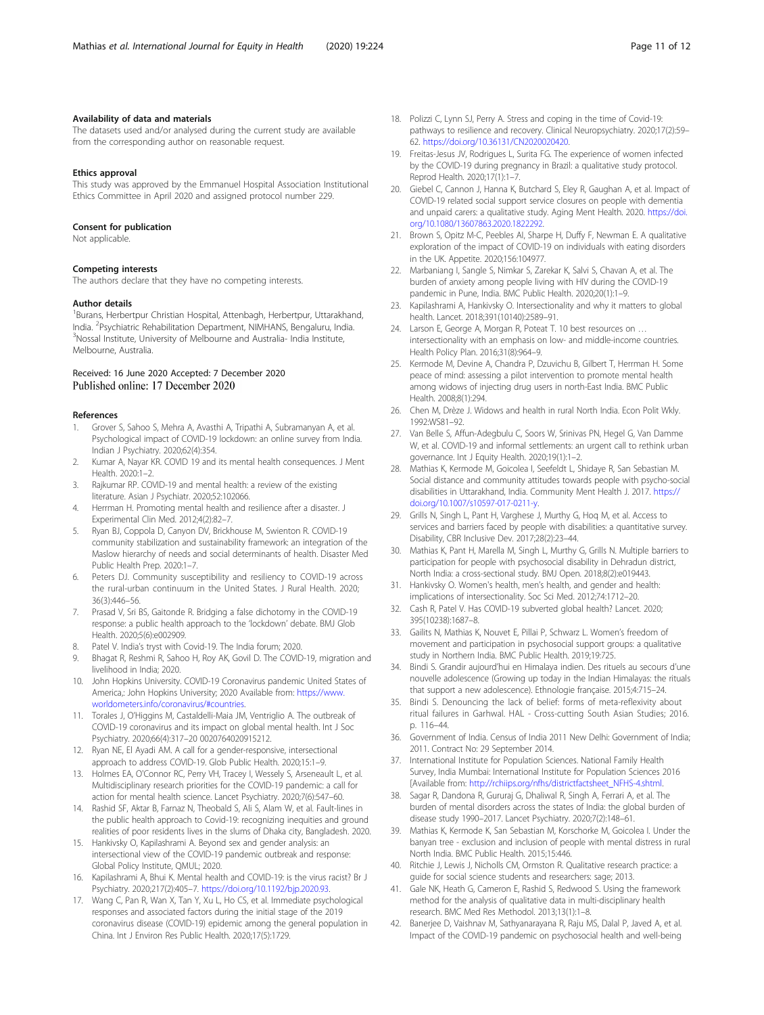# <span id="page-10-0"></span>Availability of data and materials

The datasets used and/or analysed during the current study are available from the corresponding author on reasonable request.

#### Ethics approval

This study was approved by the Emmanuel Hospital Association Institutional Ethics Committee in April 2020 and assigned protocol number 229.

#### Consent for publication

Not applicable.

#### Competing interests

The authors declare that they have no competing interests.

#### Author details

<sup>1</sup>Burans, Herbertpur Christian Hospital, Attenbagh, Herbertpur, Uttarakhand, India. <sup>2</sup> Psychiatric Rehabilitation Department, NIMHANS, Bengaluru, India.<br><sup>3</sup>Nossal Institute University of Melbourne and Australia. India Institute. <sup>3</sup>Nossal Institute, University of Melbourne and Australia- India Institute, Melbourne, Australia.

# Received: 16 June 2020 Accepted: 7 December 2020 Published online: 17 December 2020

#### References

- 1. Grover S, Sahoo S, Mehra A, Avasthi A, Tripathi A, Subramanyan A, et al. Psychological impact of COVID-19 lockdown: an online survey from India. Indian J Psychiatry. 2020;62(4):354.
- 2. Kumar A, Nayar KR. COVID 19 and its mental health consequences. J Ment Health. 2020:1–2.
- 3. Rajkumar RP. COVID-19 and mental health: a review of the existing literature. Asian J Psychiatr. 2020;52:102066.
- 4. Herrman H. Promoting mental health and resilience after a disaster. J Experimental Clin Med. 2012;4(2):82–7.
- 5. Ryan BJ, Coppola D, Canyon DV, Brickhouse M, Swienton R. COVID-19 community stabilization and sustainability framework: an integration of the Maslow hierarchy of needs and social determinants of health. Disaster Med Public Health Prep. 2020:1–7.
- Peters DJ. Community susceptibility and resiliency to COVID-19 across the rural-urban continuum in the United States. J Rural Health. 2020; 36(3):446–56.
- 7. Prasad V, Sri BS, Gaitonde R. Bridging a false dichotomy in the COVID-19 response: a public health approach to the 'lockdown' debate. BMJ Glob Health. 2020;5(6):e002909.
- Patel V. India's tryst with Covid-19. The India forum; 2020.
- 9. Bhagat R, Reshmi R, Sahoo H, Roy AK, Govil D. The COVID-19, migration and livelihood in India; 2020.
- 10. John Hopkins University. COVID-19 Coronavirus pandemic United States of America,: John Hopkins University; 2020 Available from: [https://www.](https://www.worldometers.info/coronavirus/#countries) [worldometers.info/coronavirus/#countries](https://www.worldometers.info/coronavirus/#countries).
- 11. Torales J, O'Higgins M, Castaldelli-Maia JM, Ventriglio A. The outbreak of COVID-19 coronavirus and its impact on global mental health. Int J Soc Psychiatry. 2020;66(4):317–20 0020764020915212.
- 12. Ryan NE, El Ayadi AM. A call for a gender-responsive, intersectional approach to address COVID-19. Glob Public Health. 2020;15:1–9.
- 13. Holmes EA, O'Connor RC, Perry VH, Tracey I, Wessely S, Arseneault L, et al. Multidisciplinary research priorities for the COVID-19 pandemic: a call for action for mental health science. Lancet Psychiatry. 2020;7(6):547–60.
- 14. Rashid SF, Aktar B, Farnaz N, Theobald S, Ali S, Alam W, et al. Fault-lines in the public health approach to Covid-19: recognizing inequities and ground realities of poor residents lives in the slums of Dhaka city, Bangladesh. 2020.
- 15. Hankivsky O, Kapilashrami A. Beyond sex and gender analysis: an intersectional view of the COVID-19 pandemic outbreak and response: Global Policy Institute, QMUL; 2020.
- 16. Kapilashrami A, Bhui K. Mental health and COVID-19: is the virus racist? Br J Psychiatry. 2020;217(2):405–7. <https://doi.org/10.1192/bjp.2020.93>.
- 17. Wang C, Pan R, Wan X, Tan Y, Xu L, Ho CS, et al. Immediate psychological responses and associated factors during the initial stage of the 2019 coronavirus disease (COVID-19) epidemic among the general population in China. Int J Environ Res Public Health. 2020;17(5):1729.
- 18. Polizzi C, Lynn SJ, Perry A. Stress and coping in the time of Covid-19: pathways to resilience and recovery. Clinical Neuropsychiatry. 2020;17(2):59– 62. <https://doi.org/10.36131/CN2020020420>.
- 19. Freitas-Jesus JV, Rodrigues L, Surita FG. The experience of women infected by the COVID-19 during pregnancy in Brazil: a qualitative study protocol. Reprod Health. 2020;17(1):1–7.
- 20. Giebel C, Cannon J, Hanna K, Butchard S, Eley R, Gaughan A, et al. Impact of COVID-19 related social support service closures on people with dementia and unpaid carers: a qualitative study. Aging Ment Health. 2020. [https://doi.](https://doi.org/10.1080/13607863.2020.1822292) [org/10.1080/13607863.2020.1822292](https://doi.org/10.1080/13607863.2020.1822292).
- 21. Brown S, Opitz M-C, Peebles AI, Sharpe H, Duffy F, Newman E. A qualitative exploration of the impact of COVID-19 on individuals with eating disorders in the UK. Appetite. 2020;156:104977.
- 22. Marbaniang I, Sangle S, Nimkar S, Zarekar K, Salvi S, Chavan A, et al. The burden of anxiety among people living with HIV during the COVID-19 pandemic in Pune, India. BMC Public Health. 2020;20(1):1–9.
- 23. Kapilashrami A, Hankivsky O. Intersectionality and why it matters to global health. Lancet. 2018;391(10140):2589–91.
- 24. Larson E, George A, Morgan R, Poteat T. 10 best resources on … intersectionality with an emphasis on low- and middle-income countries. Health Policy Plan. 2016;31(8):964–9.
- 25. Kermode M, Devine A, Chandra P, Dzuvichu B, Gilbert T, Herrman H. Some peace of mind: assessing a pilot intervention to promote mental health among widows of injecting drug users in north-East India. BMC Public Health. 2008;8(1):294.
- 26. Chen M, Drèze J. Widows and health in rural North India. Econ Polit Wkly. 1992:WS81–92.
- 27. Van Belle S, Affun-Adegbulu C, Soors W, Srinivas PN, Hegel G, Van Damme W, et al. COVID-19 and informal settlements: an urgent call to rethink urban governance. Int J Equity Health. 2020;19(1):1–2.
- 28. Mathias K, Kermode M, Goicolea I, Seefeldt L, Shidaye R, San Sebastian M. Social distance and community attitudes towards people with psycho-social disabilities in Uttarakhand, India. Community Ment Health J. 2017. [https://](https://doi.org/10.1007/s10597-017-0211-y) [doi.org/10.1007/s10597-017-0211-y](https://doi.org/10.1007/s10597-017-0211-y).
- 29. Grills N, Singh L, Pant H, Varghese J, Murthy G, Hoq M, et al. Access to services and barriers faced by people with disabilities: a quantitative survey. Disability, CBR Inclusive Dev. 2017;28(2):23–44.
- 30. Mathias K, Pant H, Marella M, Singh L, Murthy G, Grills N. Multiple barriers to participation for people with psychosocial disability in Dehradun district, North India: a cross-sectional study. BMJ Open. 2018;8(2):e019443.
- 31. Hankivsky O. Women's health, men's health, and gender and health: implications of intersectionality. Soc Sci Med. 2012;74:1712–20.
- 32. Cash R, Patel V. Has COVID-19 subverted global health? Lancet. 2020; 395(10238):1687–8.
- 33. Gailits N, Mathias K, Nouvet E, Pillai P, Schwarz L. Women's freedom of movement and participation in psychosocial support groups: a qualitative study in Northern India. BMC Public Health. 2019;19:725.
- 34. Bindi S. Grandir aujourd'hui en Himalaya indien. Des rituels au secours d'une nouvelle adolescence (Growing up today in the Indian Himalayas: the rituals that support a new adolescence). Ethnologie française. 2015;4:715–24.
- 35. Bindi S. Denouncing the lack of belief: forms of meta-reflexivity about ritual failures in Garhwal. HAL - Cross-cutting South Asian Studies; 2016. p. 116–44.
- 36. Government of India. Census of India 2011 New Delhi: Government of India; 2011. Contract No: 29 September 2014.
- 37. International Institute for Population Sciences. National Family Health Survey, India Mumbai: International Institute for Population Sciences 2016 [Available from: [http://rchiips.org/nfhs/districtfactsheet\\_NFHS-4.shtml](http://rchiips.org/nfhs/districtfactsheet_NFHS-4.shtml).
- 38. Sagar R, Dandona R, Gururaj G, Dhaliwal R, Singh A, Ferrari A, et al. The burden of mental disorders across the states of India: the global burden of disease study 1990–2017. Lancet Psychiatry. 2020;7(2):148–61.
- 39. Mathias K, Kermode K, San Sebastian M, Korschorke M, Goicolea I. Under the banyan tree - exclusion and inclusion of people with mental distress in rural North India. BMC Public Health. 2015;15:446.
- 40. Ritchie J, Lewis J, Nicholls CM, Ormston R. Qualitative research practice: a guide for social science students and researchers: sage; 2013.
- 41. Gale NK, Heath G, Cameron E, Rashid S, Redwood S. Using the framework method for the analysis of qualitative data in multi-disciplinary health research. BMC Med Res Methodol. 2013;13(1):1–8.
- 42. Banerjee D, Vaishnav M, Sathyanarayana R, Raju MS, Dalal P, Javed A, et al. Impact of the COVID-19 pandemic on psychosocial health and well-being